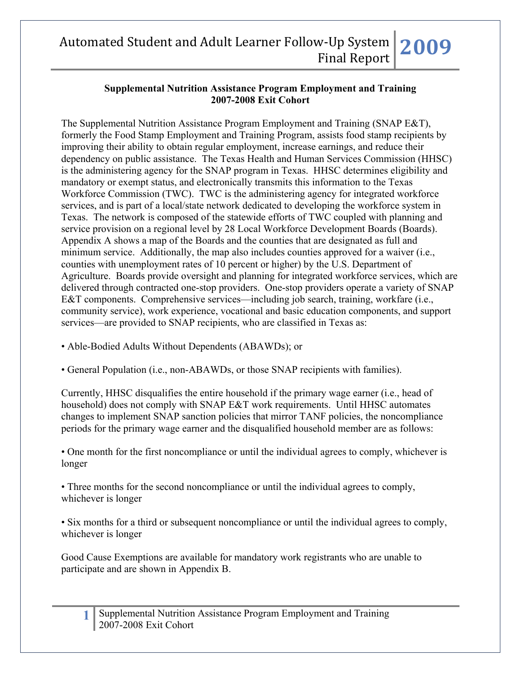#### **Supplemental Nutrition Assistance Program Employment and Training 2007-2008 Exit Cohort**

The Supplemental Nutrition Assistance Program Employment and Training (SNAP E&T), formerly the Food Stamp Employment and Training Program, assists food stamp recipients by improving their ability to obtain regular employment, increase earnings, and reduce their dependency on public assistance. The Texas Health and Human Services Commission (HHSC) is the administering agency for the SNAP program in Texas. HHSC determines eligibility and mandatory or exempt status, and electronically transmits this information to the Texas Workforce Commission (TWC). TWC is the administering agency for integrated workforce services, and is part of a local/state network dedicated to developing the workforce system in Texas. The network is composed of the statewide efforts of TWC coupled with planning and service provision on a regional level by 28 Local Workforce Development Boards (Boards). Appendix A shows a map of the Boards and the counties that are designated as full and minimum service. Additionally, the map also includes counties approved for a waiver (i.e., counties with unemployment rates of 10 percent or higher) by the U.S. Department of Agriculture. Boards provide oversight and planning for integrated workforce services, which are delivered through contracted one-stop providers. One-stop providers operate a variety of SNAP E&T components. Comprehensive services—including job search, training, workfare (i.e., community service), work experience, vocational and basic education components, and support services—are provided to SNAP recipients, who are classified in Texas as:

- Able-Bodied Adults Without Dependents (ABAWDs); or
- General Population (i.e., non-ABAWDs, or those SNAP recipients with families).

Currently, HHSC disqualifies the entire household if the primary wage earner (i.e., head of household) does not comply with SNAP E&T work requirements. Until HHSC automates changes to implement SNAP sanction policies that mirror TANF policies, the noncompliance periods for the primary wage earner and the disqualified household member are as follows:

• One month for the first noncompliance or until the individual agrees to comply, whichever is longer

• Three months for the second noncompliance or until the individual agrees to comply, whichever is longer

• Six months for a third or subsequent noncompliance or until the individual agrees to comply, whichever is longer

Good Cause Exemptions are available for mandatory work registrants who are unable to participate and are shown in Appendix B.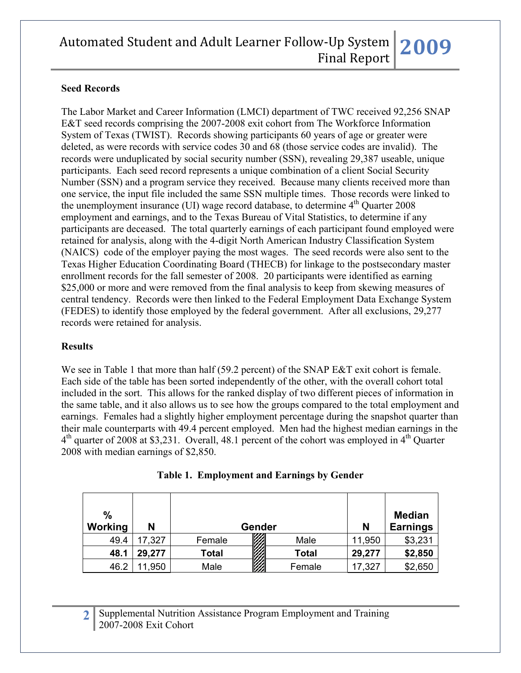### **Seed Records**

The Labor Market and Career Information (LMCI) department of TWC received 92,256 SNAP E&T seed records comprising the 2007-2008 exit cohort from The Workforce Information System of Texas (TWIST). Records showing participants 60 years of age or greater were deleted, as were records with service codes 30 and 68 (those service codes are invalid). The records were unduplicated by social security number (SSN), revealing 29,387 useable, unique participants. Each seed record represents a unique combination of a client Social Security Number (SSN) and a program service they received. Because many clients received more than one service, the input file included the same SSN multiple times. Those records were linked to the unemployment insurance (UI) wage record database, to determine  $4<sup>th</sup>$  Quarter 2008 employment and earnings, and to the Texas Bureau of Vital Statistics, to determine if any participants are deceased. The total quarterly earnings of each participant found employed were retained for analysis, along with the 4-digit North American Industry Classification System (NAICS) code of the employer paying the most wages. The seed records were also sent to the Texas Higher Education Coordinating Board (THECB) for linkage to the postsecondary master enrollment records for the fall semester of 2008. 20 participants were identified as earning \$25,000 or more and were removed from the final analysis to keep from skewing measures of central tendency. Records were then linked to the Federal Employment Data Exchange System (FEDES) to identify those employed by the federal government. After all exclusions, 29,277 records were retained for analysis.

#### **Results**

We see in Table 1 that more than half (59.2 percent) of the SNAP E&T exit cohort is female. Each side of the table has been sorted independently of the other, with the overall cohort total included in the sort. This allows for the ranked display of two different pieces of information in the same table, and it also allows us to see how the groups compared to the total employment and earnings. Females had a slightly higher employment percentage during the snapshot quarter than their male counterparts with 49.4 percent employed. Men had the highest median earnings in the  $4<sup>th</sup>$  quarter of 2008 at \$3,231. Overall, 48.1 percent of the cohort was employed in  $4<sup>th</sup>$  Quarter 2008 with median earnings of \$2,850.

| $\frac{0}{0}$<br>Working | N      | Gender       |              | N      | <b>Median</b><br><b>Earnings</b> |
|--------------------------|--------|--------------|--------------|--------|----------------------------------|
| 49.4                     | 17,327 | Female       | Male         | 11,950 | \$3,231                          |
| 48.1                     | 29,277 | <b>Total</b> | <b>Total</b> | 29,277 | \$2,850                          |
| 46.2                     | 11,950 | Male         | Female       | 17,327 | \$2,650                          |

**Table 1. Employment and Earnings by Gender**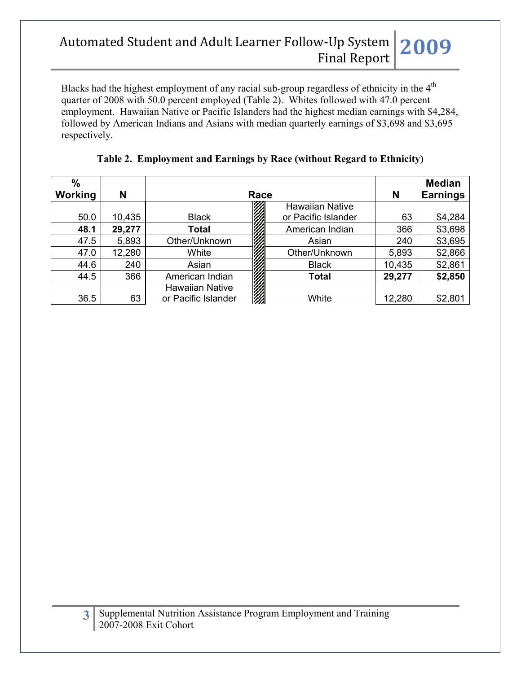Blacks had the highest employment of any racial sub-group regardless of ethnicity in the 4<sup>th</sup> quarter of 2008 with 50.0 percent employed (Table 2). Whites followed with 47.0 percent employment. Hawaiian Native or Pacific Islanders had the highest median earnings with \$4,284, followed by American Indians and Asians with median quarterly earnings of \$3,698 and \$3,695 respectively.

| $\frac{0}{0}$<br><b>Working</b> | N      | Race                                          |   | N                      | <b>Median</b><br><b>Earnings</b> |         |
|---------------------------------|--------|-----------------------------------------------|---|------------------------|----------------------------------|---------|
|                                 |        |                                               |   | <b>Hawaiian Native</b> |                                  |         |
| 50.0                            | 10,435 | <b>Black</b>                                  |   | or Pacific Islander    | 63                               | \$4,284 |
| 48.1                            | 29,277 | <b>Total</b>                                  |   | American Indian        | 366                              | \$3,698 |
| 47.5                            | 5,893  | Other/Unknown                                 |   | Asian                  | 240                              | \$3,695 |
| 47.0                            | 12,280 | White                                         |   | Other/Unknown          | 5,893                            | \$2,866 |
| 44.6                            | 240    | Asian                                         |   | <b>Black</b>           | 10,435                           | \$2,861 |
| 44.5                            | 366    | American Indian                               | m | <b>Total</b>           | 29,277                           | \$2,850 |
| 36.5                            | 63     | <b>Hawaiian Native</b><br>or Pacific Islander |   | White                  | 12,280                           | \$2,801 |

|  | Table 2. Employment and Earnings by Race (without Regard to Ethnicity) |  |
|--|------------------------------------------------------------------------|--|
|  |                                                                        |  |
|  |                                                                        |  |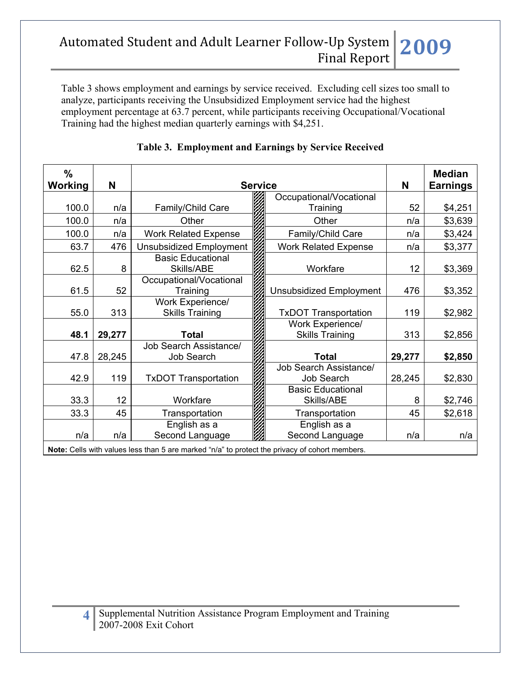Table 3 shows employment and earnings by service received. Excluding cell sizes too small to analyze, participants receiving the Unsubsidized Employment service had the highest employment percentage at 63.7 percent, while participants receiving Occupational/Vocational Training had the highest median quarterly earnings with \$4,251.

| $\%$<br>Working | N      | <b>Service</b>                              |  |                                            | N      | <b>Median</b><br><b>Earnings</b> |
|-----------------|--------|---------------------------------------------|--|--------------------------------------------|--------|----------------------------------|
|                 |        |                                             |  | Occupational/Vocational                    |        |                                  |
| 100.0           | n/a    | Family/Child Care                           |  | Training                                   | 52     | \$4,251                          |
| 100.0           | n/a    | Other                                       |  | Other                                      | n/a    | \$3,639                          |
| 100.0           | n/a    | <b>Work Related Expense</b>                 |  | Family/Child Care                          | n/a    | \$3,424                          |
| 63.7            | 476    | <b>Unsubsidized Employment</b>              |  | <b>Work Related Expense</b>                | n/a    | \$3,377                          |
| 62.5            | 8      | <b>Basic Educational</b><br>Skills/ABE      |  | Workfare                                   | 12     | \$3,369                          |
| 61.5            | 52     | Occupational/Vocational<br>Training         |  | <b>Unsubsidized Employment</b>             | 476    | \$3,352                          |
| 55.0            | 313    | Work Experience/<br><b>Skills Training</b>  |  | <b>TxDOT Transportation</b>                | 119    | \$2,982                          |
| 48.1            | 29,277 | <b>Total</b>                                |  | Work Experience/<br><b>Skills Training</b> | 313    | \$2,856                          |
| 47.8            | 28,245 | <b>Job Search Assistance/</b><br>Job Search |  | <b>Total</b>                               | 29,277 | \$2,850                          |
| 42.9            | 119    | <b>TxDOT Transportation</b>                 |  | Job Search Assistance/<br>Job Search       | 28,245 | \$2,830                          |
| 33.3            | 12     | Workfare                                    |  | <b>Basic Educational</b><br>Skills/ABE     | 8      | \$2,746                          |
| 33.3            | 45     | Transportation                              |  | Transportation                             | 45     | \$2,618                          |
|                 |        | English as a                                |  | English as a                               |        |                                  |
| n/a             | n/a    | Second Language                             |  | Second Language                            | n/a    | n/a                              |

## **Table 3. Employment and Earnings by Service Received**

**Note:** Cells with values less than 5 are marked "n/a" to protect the privacy of cohort members.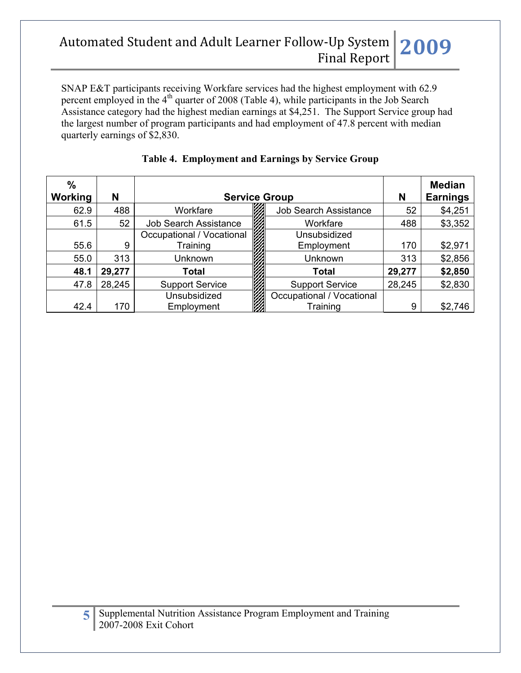SNAP E&T participants receiving Workfare services had the highest employment with 62.9 percent employed in the  $4<sup>th</sup>$  quarter of 2008 (Table 4), while participants in the Job Search Assistance category had the highest median earnings at \$4,251. The Support Service group had the largest number of program participants and had employment of 47.8 percent with median quarterly earnings of \$2,830.

| $\%$<br><b>Working</b> | N      | <b>Service Group</b>         |                              |        | <b>Median</b><br><b>Earnings</b> |
|------------------------|--------|------------------------------|------------------------------|--------|----------------------------------|
| 62.9                   | 488    | Workfare                     | <b>Job Search Assistance</b> | 52     | \$4,251                          |
| 61.5                   | 52     | <b>Job Search Assistance</b> | Workfare                     | 488    | \$3,352                          |
|                        |        | Occupational / Vocational    | Unsubsidized                 |        |                                  |
| 55.6                   | 9      | Training                     | Employment                   | 170    | \$2,971                          |
| 55.0                   | 313    | <b>Unknown</b>               | Unknown                      | 313    | \$2,856                          |
| 48.1                   | 29,277 | Total                        | Total                        | 29,277 | \$2,850                          |
| 47.8                   | 28,245 | <b>Support Service</b>       | <b>Support Service</b>       | 28,245 | \$2,830                          |
|                        |        | Unsubsidized                 | Occupational / Vocational    |        |                                  |
| 42.4                   | 170    | Employment                   | Training                     | 9      | \$2,746                          |

## **Table 4. Employment and Earnings by Service Group**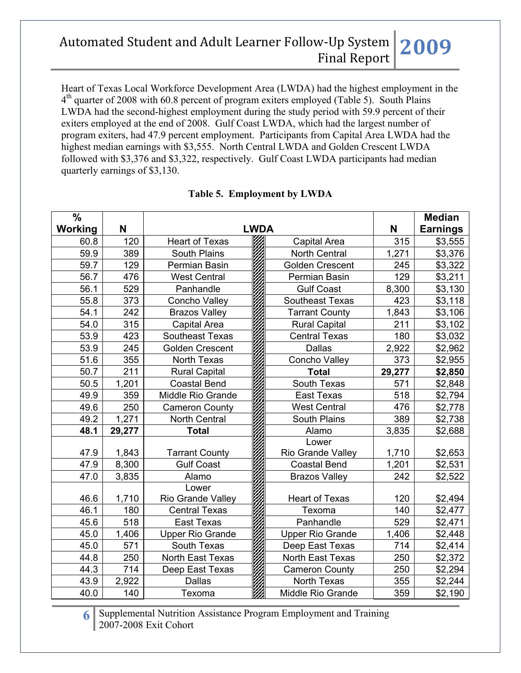Heart of Texas Local Workforce Development Area (LWDA) had the highest employment in the  $4<sup>th</sup>$  quarter of 2008 with 60.8 percent of program exiters employed (Table 5). South Plains LWDA had the second-highest employment during the study period with 59.9 percent of their exiters employed at the end of 2008. Gulf Coast LWDA, which had the largest number of program exiters, had 47.9 percent employment. Participants from Capital Area LWDA had the highest median earnings with \$3,555. North Central LWDA and Golden Crescent LWDA followed with \$3,376 and \$3,322, respectively. Gulf Coast LWDA participants had median quarterly earnings of \$3,130.

| %       |        |                          |  |                          | <b>Median</b>   |         |
|---------|--------|--------------------------|--|--------------------------|-----------------|---------|
| Working | N      | <b>LWDA</b>              |  | N                        | <b>Earnings</b> |         |
| 60.8    | 120    | <b>Heart of Texas</b>    |  | Capital Area             | 315             | \$3,555 |
| 59.9    | 389    | South Plains             |  | <b>North Central</b>     | 1,271           | \$3,376 |
| 59.7    | 129    | Permian Basin            |  | <b>Golden Crescent</b>   | 245             | \$3,322 |
| 56.7    | 476    | <b>West Central</b>      |  | Permian Basin            | 129             | \$3,211 |
| 56.1    | 529    | Panhandle                |  | <b>Gulf Coast</b>        | 8,300           | \$3,130 |
| 55.8    | 373    | Concho Valley            |  | <b>Southeast Texas</b>   | 423             | \$3,118 |
| 54.1    | 242    | <b>Brazos Valley</b>     |  | <b>Tarrant County</b>    | 1,843           | \$3,106 |
| 54.0    | 315    | Capital Area             |  | <b>Rural Capital</b>     | 211             | \$3,102 |
| 53.9    | 423    | Southeast Texas          |  | <b>Central Texas</b>     | 180             | \$3,032 |
| 53.9    | 245    | <b>Golden Crescent</b>   |  | <b>Dallas</b>            | 2,922           | \$2,962 |
| 51.6    | 355    | North Texas              |  | <b>Concho Valley</b>     | 373             | \$2,955 |
| 50.7    | 211    | <b>Rural Capital</b>     |  | <b>Total</b>             | 29,277          | \$2,850 |
| 50.5    | 1,201  | <b>Coastal Bend</b>      |  | South Texas              | 571             | \$2,848 |
| 49.9    | 359    | Middle Rio Grande        |  | East Texas               | 518             | \$2,794 |
| 49.6    | 250    | <b>Cameron County</b>    |  | <b>West Central</b>      | 476             | \$2,778 |
| 49.2    | 1,271  | <b>North Central</b>     |  | <b>South Plains</b>      | 389             | \$2,738 |
| 48.1    | 29,277 | <b>Total</b>             |  | Alamo                    | 3,835           | \$2,688 |
|         |        |                          |  | Lower                    |                 |         |
| 47.9    | 1,843  | <b>Tarrant County</b>    |  | Rio Grande Valley        | 1,710           | \$2,653 |
| 47.9    | 8,300  | <b>Gulf Coast</b>        |  | <b>Coastal Bend</b>      | 1,201           | \$2,531 |
| 47.0    | 3,835  | Alamo                    |  | <b>Brazos Valley</b>     | 242             | \$2,522 |
|         |        | Lower                    |  |                          |                 |         |
| 46.6    | 1,710  | <b>Rio Grande Valley</b> |  | <b>Heart of Texas</b>    | 120             | \$2,494 |
| 46.1    | 180    | <b>Central Texas</b>     |  | Texoma                   | 140             | \$2,477 |
| 45.6    | 518    | <b>East Texas</b>        |  | Panhandle                | 529             | \$2,471 |
| 45.0    | 1,406  | <b>Upper Rio Grande</b>  |  | <b>Upper Rio Grande</b>  | 1,406           | \$2,448 |
| 45.0    | 571    | South Texas              |  | Deep East Texas          | 714             | \$2,414 |
| 44.8    | 250    | North East Texas         |  | North East Texas         | 250             | \$2,372 |
| 44.3    | 714    | Deep East Texas          |  | <b>Cameron County</b>    | 250             | \$2,294 |
| 43.9    | 2,922  | <b>Dallas</b>            |  | <b>North Texas</b>       | 355             | \$2,244 |
| 40.0    | 140    | Texoma                   |  | <b>Middle Rio Grande</b> | 359             | \$2,190 |

### **Table 5. Employment by LWDA**

**6** Supplemental Nutrition Assistance Program Employment and Training 2007-2008 Exit Cohort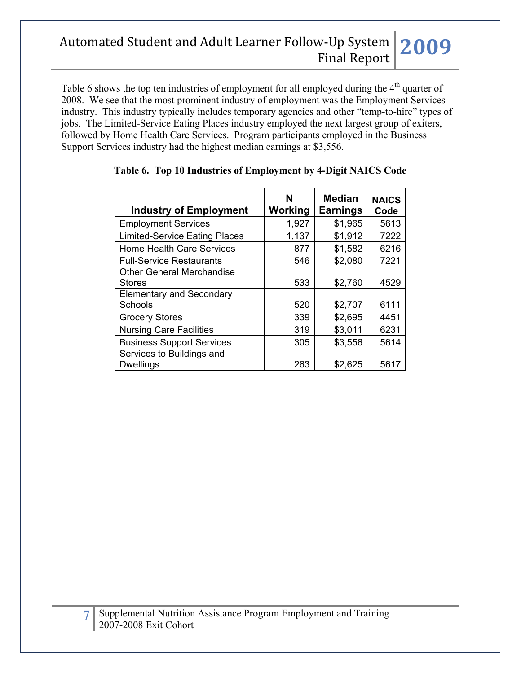Table 6 shows the top ten industries of employment for all employed during the 4<sup>th</sup> quarter of 2008. We see that the most prominent industry of employment was the Employment Services industry. This industry typically includes temporary agencies and other "temp-to-hire" types of jobs. The Limited-Service Eating Places industry employed the next largest group of exiters, followed by Home Health Care Services. Program participants employed in the Business Support Services industry had the highest median earnings at \$3,556.

| <b>Industry of Employment</b>                     | N<br>Working | <b>Median</b><br><b>Earnings</b> | <b>NAICS</b><br>Code |
|---------------------------------------------------|--------------|----------------------------------|----------------------|
| <b>Employment Services</b>                        | 1,927        | \$1,965                          | 5613                 |
| <b>Limited-Service Eating Places</b>              | 1,137        | \$1,912                          | 7222                 |
| <b>Home Health Care Services</b>                  | 877          | \$1,582                          | 6216                 |
| <b>Full-Service Restaurants</b>                   | 546          | \$2,080                          | 7221                 |
| <b>Other General Merchandise</b><br><b>Stores</b> | 533          | \$2,760                          | 4529                 |
| <b>Elementary and Secondary</b><br>Schools        | 520          | \$2,707                          | 6111                 |
| <b>Grocery Stores</b>                             | 339          | \$2,695                          | 4451                 |
| <b>Nursing Care Facilities</b>                    | 319          | \$3,011                          | 6231                 |
| <b>Business Support Services</b>                  | 305          | \$3,556                          | 5614                 |
| Services to Buildings and<br><b>Dwellings</b>     | 263          | \$2,625                          | 5617                 |

### **Table 6. Top 10 Industries of Employment by 4-Digit NAICS Code**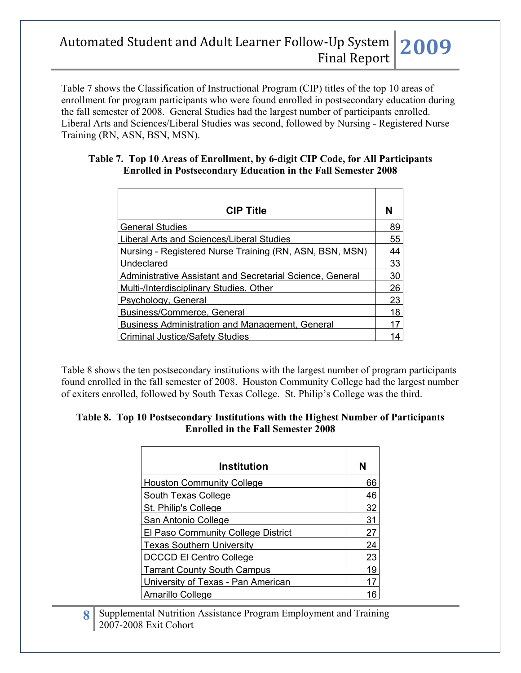Table 7 shows the Classification of Instructional Program (CIP) titles of the top 10 areas of enrollment for program participants who were found enrolled in postsecondary education during the fall semester of 2008. General Studies had the largest number of participants enrolled. Liberal Arts and Sciences/Liberal Studies was second, followed by Nursing - Registered Nurse Training (RN, ASN, BSN, MSN).

#### **Table 7. Top 10 Areas of Enrollment, by 6-digit CIP Code, for All Participants Enrolled in Postsecondary Education in the Fall Semester 2008**

| <b>CIP Title</b>                                          | N  |
|-----------------------------------------------------------|----|
| <b>General Studies</b>                                    | 89 |
| Liberal Arts and Sciences/Liberal Studies                 | 55 |
| Nursing - Registered Nurse Training (RN, ASN, BSN, MSN)   | 44 |
| Undeclared                                                | 33 |
| Administrative Assistant and Secretarial Science, General | 30 |
| Multi-/Interdisciplinary Studies, Other                   | 26 |
| Psychology, General                                       | 23 |
| Business/Commerce, General                                | 18 |
| <b>Business Administration and Management, General</b>    | 17 |
| Criminal Justice/Safety Studies                           | 14 |

Table 8 shows the ten postsecondary institutions with the largest number of program participants found enrolled in the fall semester of 2008. Houston Community College had the largest number of exiters enrolled, followed by South Texas College. St. Philip's College was the third.

#### **Table 8. Top 10 Postsecondary Institutions with the Highest Number of Participants Enrolled in the Fall Semester 2008**

| <b>Institution</b>                 | N  |
|------------------------------------|----|
| <b>Houston Community College</b>   | 66 |
| South Texas College                | 46 |
| St. Philip's College               | 32 |
| San Antonio College                | 31 |
| El Paso Community College District | 27 |
| <b>Texas Southern University</b>   | 24 |
| <b>DCCCD El Centro College</b>     | 23 |
| <b>Tarrant County South Campus</b> | 19 |
| University of Texas - Pan American |    |
| Amarillo College                   | 16 |

**8** Supplemental Nutrition Assistance Program Employment and Training 2007-2008 Exit Cohort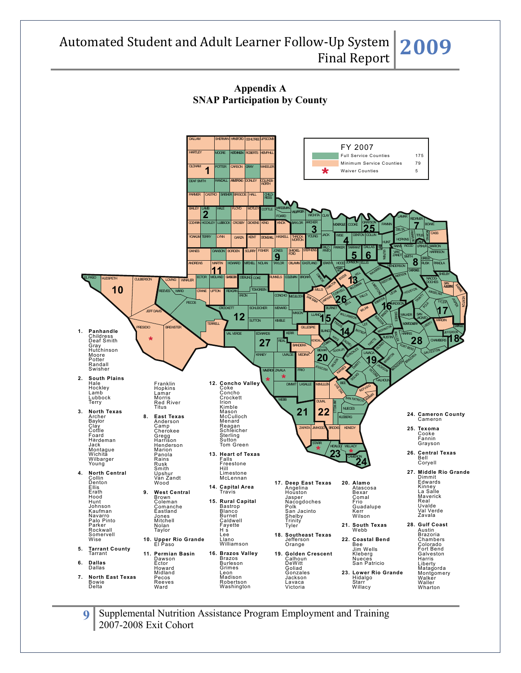

**9** Supplemental Nutrition Assistance Program Employment and Training 2007-2008 Exit Cohort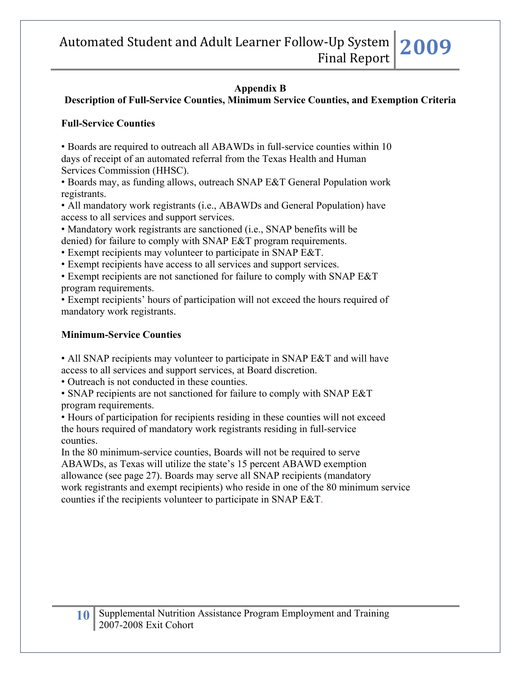### **Appendix B**

### **Description of Full-Service Counties, Minimum Service Counties, and Exemption Criteria**

### **Full-Service Counties**

• Boards are required to outreach all ABAWDs in full-service counties within 10 days of receipt of an automated referral from the Texas Health and Human Services Commission (HHSC).

• Boards may, as funding allows, outreach SNAP E&T General Population work registrants.

• All mandatory work registrants (i.e., ABAWDs and General Population) have access to all services and support services.

• Mandatory work registrants are sanctioned (i.e., SNAP benefits will be denied) for failure to comply with SNAP E&T program requirements.

• Exempt recipients may volunteer to participate in SNAP E&T.

• Exempt recipients have access to all services and support services.

• Exempt recipients are not sanctioned for failure to comply with SNAP E&T program requirements.

• Exempt recipients' hours of participation will not exceed the hours required of mandatory work registrants.

### **Minimum-Service Counties**

• All SNAP recipients may volunteer to participate in SNAP E&T and will have access to all services and support services, at Board discretion.

• Outreach is not conducted in these counties.

• SNAP recipients are not sanctioned for failure to comply with SNAP E&T program requirements.

• Hours of participation for recipients residing in these counties will not exceed the hours required of mandatory work registrants residing in full-service counties.

In the 80 minimum-service counties, Boards will not be required to serve ABAWDs, as Texas will utilize the state's 15 percent ABAWD exemption allowance (see page 27). Boards may serve all SNAP recipients (mandatory work registrants and exempt recipients) who reside in one of the 80 minimum service counties if the recipients volunteer to participate in SNAP E&T.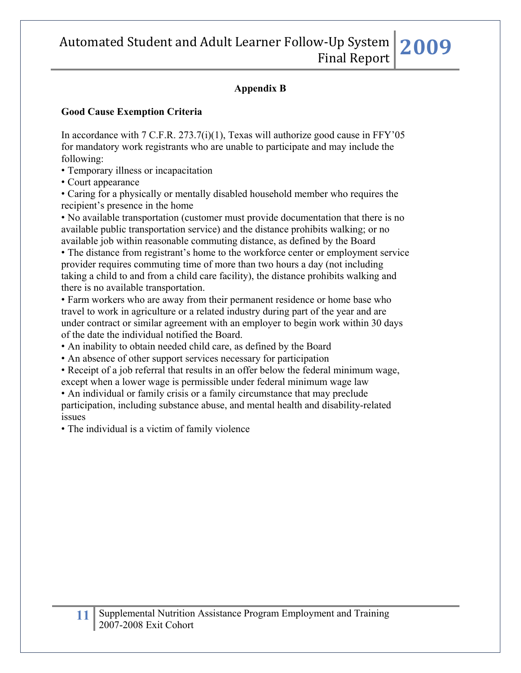#### **Appendix B**

#### **Good Cause Exemption Criteria**

In accordance with  $7 \text{ C.F.R. } 273.7(i)(1)$ , Texas will authorize good cause in FFY'05 for mandatory work registrants who are unable to participate and may include the following:

• Temporary illness or incapacitation

• Court appearance

• Caring for a physically or mentally disabled household member who requires the recipient's presence in the home

• No available transportation (customer must provide documentation that there is no available public transportation service) and the distance prohibits walking; or no available job within reasonable commuting distance, as defined by the Board

• The distance from registrant's home to the workforce center or employment service provider requires commuting time of more than two hours a day (not including taking a child to and from a child care facility), the distance prohibits walking and there is no available transportation.

• Farm workers who are away from their permanent residence or home base who travel to work in agriculture or a related industry during part of the year and are under contract or similar agreement with an employer to begin work within 30 days of the date the individual notified the Board.

- An inability to obtain needed child care, as defined by the Board
- An absence of other support services necessary for participation
- Receipt of a job referral that results in an offer below the federal minimum wage, except when a lower wage is permissible under federal minimum wage law
- An individual or family crisis or a family circumstance that may preclude participation, including substance abuse, and mental health and disability-related issues

• The individual is a victim of family violence